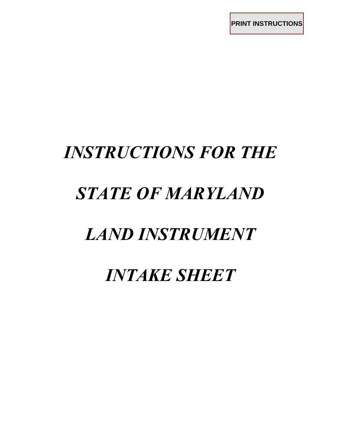**PRINT INSTRUCTIONS**

# *INSTRUCTIONS FOR THE STATE OF MARYLAND LAND INSTRUMENT*

*INTAKE SHEET*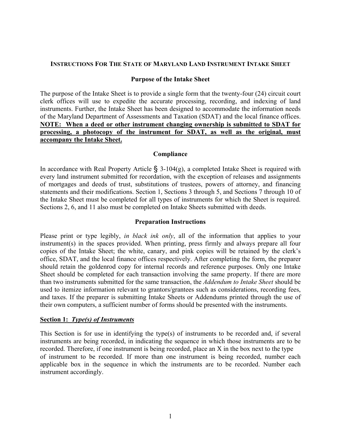#### **INSTRUCTIONS FOR THE STATE OF MARYLAND LAND INSTRUMENT INTAKE SHEET**

#### **Purpose of the Intake Sheet**

The purpose of the Intake Sheet is to provide a single form that the twenty-four (24) circuit court clerk offices will use to expedite the accurate processing, recording, and indexing of land instruments. Further, the Intake Sheet has been designed to accommodate the information needs of the Maryland Department of Assessments and Taxation (SDAT) and the local finance offices. **NOTE: When a deed or other instrument changing ownership is submitted to SDAT for processing, a photocopy of the instrument for SDAT, as well as the original, must accompany the Intake Sheet.**

#### **Compliance**

In accordance with Real Property Article  $\S$  3-104(g), a completed Intake Sheet is required with every land instrument submitted for recordation, with the exception of releases and assignments of mortgages and deeds of trust, substitutions of trustees, powers of attorney, and financing statements and their modifications. Section 1, Sections 3 through 5, and Sections 7 through 10 of the Intake Sheet must be completed for all types of instruments for which the Sheet is required. Sections 2, 6, and 11 also must be completed on Intake Sheets submitted with deeds.

#### **Preparation Instructions**

Please print or type legibly, *in black ink only*, all of the information that applies to your instrument(s) in the spaces provided. When printing, press firmly and always prepare all four copies of the Intake Sheet; the white, canary, and pink copies will be retained by the clerk's office, SDAT, and the local finance offices respectively. After completing the form, the preparer should retain the goldenrod copy for internal records and reference purposes. Only one Intake Sheet should be completed for each transaction involving the same property. If there are more than two instruments submitted for the same transaction, the *Addendum to Intake Sheet* should be used to itemize information relevant to grantors/grantees such as considerations, recording fees, and taxes. If the preparer is submitting Intake Sheets or Addendums printed through the use of their own computers, a sufficient number of forms should be presented with the instruments.

#### **Section 1:** *Type(s) of Instruments*

This Section is for use in identifying the type(s) of instruments to be recorded and, if several instruments are being recorded, in indicating the sequence in which those instruments are to be recorded. Therefore, if one instrument is being recorded, place an X in the box next to the type of instrument to be recorded. If more than one instrument is being recorded, number each applicable box in the sequence in which the instruments are to be recorded. Number each instrument accordingly.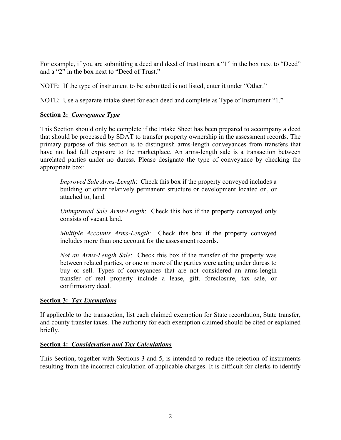For example, if you are submitting a deed and deed of trust insert a "1" in the box next to "Deed" and a "2" in the box next to "Deed of Trust."

NOTE: If the type of instrument to be submitted is not listed, enter it under "Other."

NOTE: Use a separate intake sheet for each deed and complete as Type of Instrument "1."

# **Section 2:** *Conveyance Type*

This Section should only be complete if the Intake Sheet has been prepared to accompany a deed that should be processed by SDAT to transfer property ownership in the assessment records. The primary purpose of this section is to distinguish arms-length conveyances from transfers that have not had full exposure to the marketplace. An arms-length sale is a transaction between unrelated parties under no duress. Please designate the type of conveyance by checking the appropriate box:

*Improved Sale Arms-Length*: Check this box if the property conveyed includes a building or other relatively permanent structure or development located on, or attached to, land.

*Unimproved Sale Arms-Length*: Check this box if the property conveyed only consists of vacant land.

*Multiple Accounts Arms-Length*: Check this box if the property conveyed includes more than one account for the assessment records.

*Not an Arms-Length Sale*: Check this box if the transfer of the property was between related parties, or one or more of the parties were acting under duress to buy or sell. Types of conveyances that are not considered an arms-length transfer of real property include a lease, gift, foreclosure, tax sale, or confirmatory deed.

# **Section 3:** *Tax Exemptions*

If applicable to the transaction, list each claimed exemption for State recordation, State transfer, and county transfer taxes. The authority for each exemption claimed should be cited or explained briefly.

# **Section 4:** *Consideration and Tax Calculations*

This Section, together with Sections 3 and 5, is intended to reduce the rejection of instruments resulting from the incorrect calculation of applicable charges. It is difficult for clerks to identify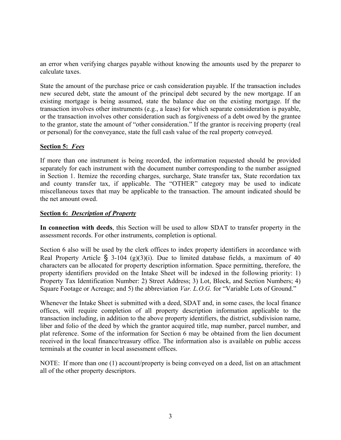an error when verifying charges payable without knowing the amounts used by the preparer to calculate taxes.

State the amount of the purchase price or cash consideration payable. If the transaction includes new secured debt, state the amount of the principal debt secured by the new mortgage. If an existing mortgage is being assumed, state the balance due on the existing mortgage. If the transaction involves other instruments (e.g., a lease) for which separate consideration is payable, or the transaction involves other consideration such as forgiveness of a debt owed by the grantee to the grantor, state the amount of "other consideration." If the grantor is receiving property (real or personal) for the conveyance, state the full cash value of the real property conveyed.

## **Section 5:** *Fees*

If more than one instrument is being recorded, the information requested should be provided separately for each instrument with the document number corresponding to the number assigned in Section 1. Itemize the recording charges, surcharge, State transfer tax, State recordation tax and county transfer tax, if applicable. The "OTHER" category may be used to indicate miscellaneous taxes that may be applicable to the transaction. The amount indicated should be the net amount owed.

## **Section 6:** *Description of Property*

**In connection with deeds**, this Section will be used to allow SDAT to transfer property in the assessment records. For other instruments, completion is optional.

Section 6 also will be used by the clerk offices to index property identifiers in accordance with Real Property Article  $\hat{S}$  3-104 (g)(3)(i). Due to limited database fields, a maximum of 40 characters can be allocated for property description information. Space permitting, therefore, the property identifiers provided on the Intake Sheet will be indexed in the following priority: 1) Property Tax Identification Number: 2) Street Address; 3) Lot, Block, and Section Numbers; 4) Square Footage or Acreage; and 5) the abbreviation *Var. L.O.G.* for "Variable Lots of Ground."

Whenever the Intake Sheet is submitted with a deed, SDAT and, in some cases, the local finance offices, will require completion of all property description information applicable to the transaction including, in addition to the above property identifiers, the district, subdivision name, liber and folio of the deed by which the grantor acquired title, map number, parcel number, and plat reference. Some of the information for Section 6 may be obtained from the lien document received in the local finance/treasury office. The information also is available on public access terminals at the counter in local assessment offices.

NOTE: If more than one (1) account/property is being conveyed on a deed, list on an attachment all of the other property descriptors.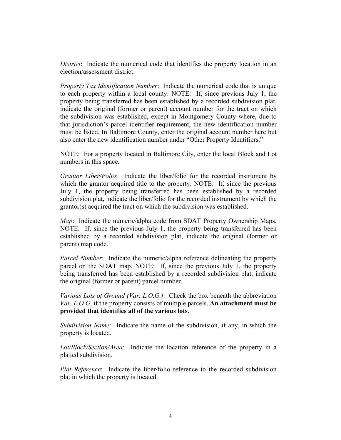*District*: Indicate the numerical code that identifies the property location in an election/assessment district.

*Property Tax Identification Number*: Indicate the numerical code that is unique to each property within a local county. NOTE: If, since previous July 1, the property being transferred has been established by a recorded subdivision plat, indicate the original (former or parent) account number for the tract on which the subdivision was established, except in Montgomery County where, due to that jurisdiction's parcel identifier requirement, the new identification number must be listed. In Baltimore County, enter the original account number here but also enter the new identification number under "Other Property Identifiers."

NOTE: For a property located in Baltimore City, enter the local Block and Lot numbers in this space.

*Grantor Liber/Folio*: Indicate the liber/folio for the recorded instrument by which the grantor acquired title to the property. NOTE: If, since the previous July 1, the property being transferred has been established by a recorded subdivision plat, indicate the liber/folio for the recorded instrument by which the grantor(s) acquired the tract on which the subdivision was established.

*Map*: Indicate the numeric/alpha code from SDAT Property Ownership Maps. NOTE: If, since the previous July 1, the property being transferred has been established by a recorded subdivision plat, indicate the original (former or parent) map code.

*Parcel Number*: Indicate the numeric/alpha reference delineating the property parcel on the SDAT map. NOTE: If, since the previous July 1, the property being transferred has been established by a recorded subdivision plat, indicate the original (former or parent) parcel number.

*Various Lots of Ground (Var. L.O.G.)*: Check the box beneath the abbreviation *Var. L.O.G.* if the property consists of multiple parcels. **An attachment must be provided that identifies all of the various lots.**

*Subdivision Name:* Indicate the name of the subdivision, if any, in which the property is located.

*Lot/Block/Section/Area*: Indicate the location reference of the property in a platted subdivision.

*Plat Reference*: Indicate the liber/folio reference to the recorded subdivision plat in which the property is located.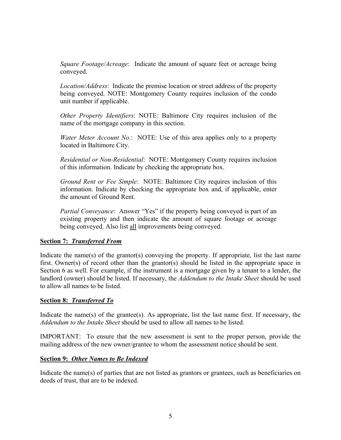*Square Footage/Acreage*: Indicate the amount of square feet or acreage being conveyed.

*Location/Address*: Indicate the premise location or street address of the property being conveyed. NOTE: Montgomery County requires inclusion of the condo unit number if applicable.

*Other Property Identifiers*: NOTE: Baltimore City requires inclusion of the name of the mortgage company in this section.

*Water Meter Account No.*: NOTE: Use of this area applies only to a property located in Baltimore City.

*Residential or Non-Residential*: NOTE: Montgomery County requires inclusion of this information. Indicate by checking the appropriate box.

*Ground Rent or Fee Simple*: NOTE: Baltimore City requires inclusion of this information. Indicate by checking the appropriate box and, if applicable, enter the amount of Ground Rent.

*Partial Conveyance*: Answer "Yes" if the property being conveyed is part of an existing property and then indicate the amount of square footage or acreage being conveyed. Also list all improvements being conveyed.

## **Section 7:** *Transferred From*

Indicate the name(s) of the grantor(s) conveying the property. If appropriate, list the last name first. Owner(s) of record other than the grantor(s) should be listed in the appropriate space in Section 6 as well. For example, if the instrument is a mortgage given by a tenant to a lender, the landlord (owner) should be listed. If necessary, the *Addendum to the Intake Sheet* should be used to allow all names to be listed.

## **Section 8:** *Transferred To*

Indicate the name(s) of the grantee(s). As appropriate, list the last name first. If necessary, the *Addendum to the Intake Sheet* should be used to allow all names to be listed.

IMPORTANT: To ensure that the new assessment is sent to the proper person, provide the mailing address of the new owner/grantee to whom the assessment notice should be sent.

# **Section 9:** *Other Names to Be Indexed*

Indicate the name(s) of parties that are not listed as grantors or grantees, such as beneficiaries on deeds of trust, that are to be indexed.